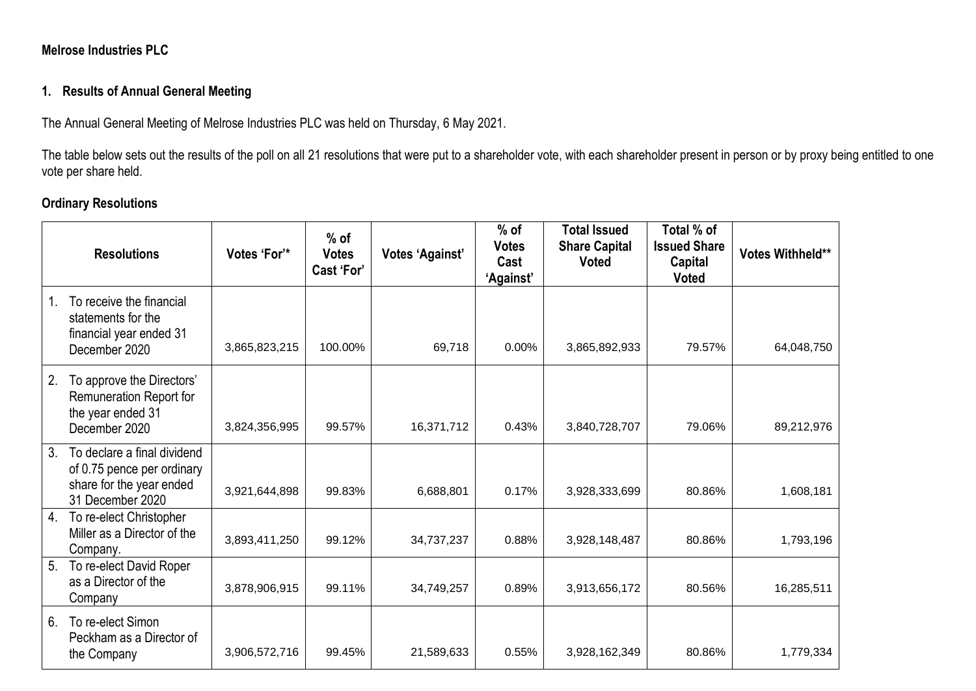## **Melrose Industries PLC**

## **1. Results of Annual General Meeting**

The Annual General Meeting of Melrose Industries PLC was held on Thursday, 6 May 2021.

The table below sets out the results of the poll on all 21 resolutions that were put to a shareholder vote, with each shareholder present in person or by proxy being entitled to one vote per share held.

## **Ordinary Resolutions**

|    | <b>Resolutions</b>                                                                                        | Votes 'For'*  | $%$ of<br><b>Votes</b><br>Cast 'For' | <b>Votes 'Against'</b> | $%$ of<br><b>Votes</b><br>Cast<br>'Against' | <b>Total Issued</b><br><b>Share Capital</b><br><b>Voted</b> | Total % of<br><b>Issued Share</b><br>Capital<br><b>Voted</b> | Votes Withheld** |
|----|-----------------------------------------------------------------------------------------------------------|---------------|--------------------------------------|------------------------|---------------------------------------------|-------------------------------------------------------------|--------------------------------------------------------------|------------------|
|    | To receive the financial<br>statements for the<br>financial year ended 31<br>December 2020                | 3,865,823,215 | 100.00%                              | 69,718                 | 0.00%                                       | 3,865,892,933                                               | 79.57%                                                       | 64,048,750       |
| 2. | To approve the Directors'<br>Remuneration Report for<br>the year ended 31<br>December 2020                | 3,824,356,995 | 99.57%                               | 16,371,712             | 0.43%                                       | 3,840,728,707                                               | 79.06%                                                       | 89,212,976       |
| 3. | To declare a final dividend<br>of 0.75 pence per ordinary<br>share for the year ended<br>31 December 2020 | 3,921,644,898 | 99.83%                               | 6,688,801              | 0.17%                                       | 3,928,333,699                                               | 80.86%                                                       | 1,608,181        |
| 4. | To re-elect Christopher<br>Miller as a Director of the<br>Company.                                        | 3,893,411,250 | 99.12%                               | 34,737,237             | 0.88%                                       | 3,928,148,487                                               | 80.86%                                                       | 1,793,196        |
| 5. | To re-elect David Roper<br>as a Director of the<br>Company                                                | 3,878,906,915 | 99.11%                               | 34,749,257             | 0.89%                                       | 3,913,656,172                                               | 80.56%                                                       | 16,285,511       |
| 6. | To re-elect Simon<br>Peckham as a Director of<br>the Company                                              | 3,906,572,716 | 99.45%                               | 21,589,633             | 0.55%                                       | 3,928,162,349                                               | 80.86%                                                       | 1,779,334        |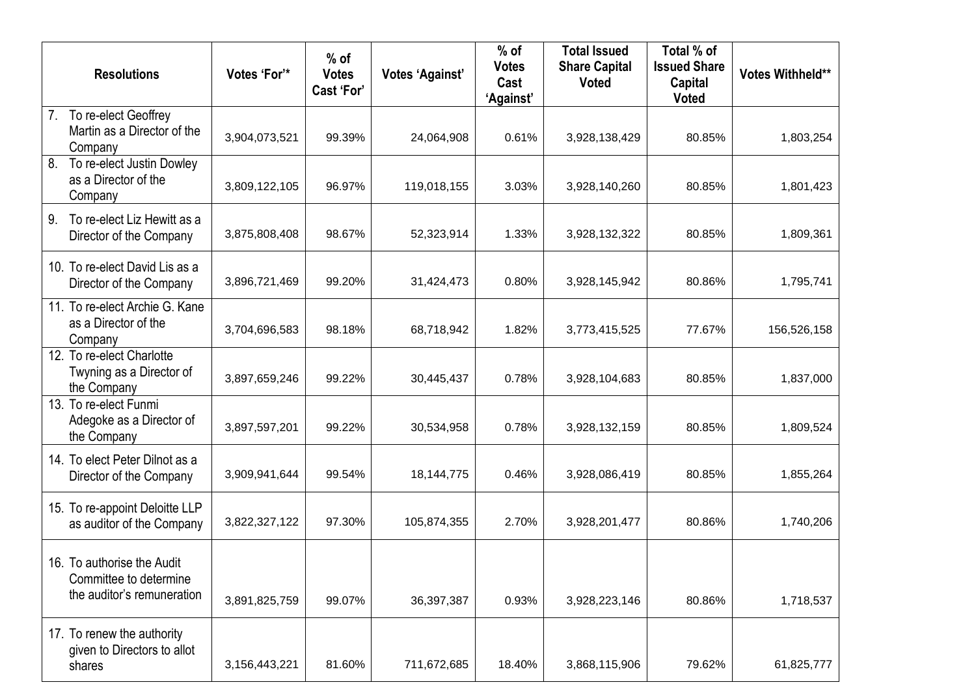|    | <b>Resolutions</b>                                                                 | Votes 'For'*  | $%$ of<br><b>Votes</b><br>Cast 'For' | <b>Votes 'Against'</b> | $%$ of<br><b>Votes</b><br>Cast<br>'Against' | <b>Total Issued</b><br><b>Share Capital</b><br><b>Voted</b> | Total % of<br><b>Issued Share</b><br><b>Capital</b><br><b>Voted</b> | Votes Withheld** |
|----|------------------------------------------------------------------------------------|---------------|--------------------------------------|------------------------|---------------------------------------------|-------------------------------------------------------------|---------------------------------------------------------------------|------------------|
| 7. | To re-elect Geoffrey<br>Martin as a Director of the<br>Company                     | 3,904,073,521 | 99.39%                               | 24,064,908             | 0.61%                                       | 3,928,138,429                                               | 80.85%                                                              | 1,803,254        |
| 8. | To re-elect Justin Dowley<br>as a Director of the<br>Company                       | 3,809,122,105 | 96.97%                               | 119,018,155            | 3.03%                                       | 3,928,140,260                                               | 80.85%                                                              | 1,801,423        |
| 9. | To re-elect Liz Hewitt as a<br>Director of the Company                             | 3,875,808,408 | 98.67%                               | 52,323,914             | 1.33%                                       | 3,928,132,322                                               | 80.85%                                                              | 1,809,361        |
|    | 10. To re-elect David Lis as a<br>Director of the Company                          | 3,896,721,469 | 99.20%                               | 31,424,473             | 0.80%                                       | 3,928,145,942                                               | 80.86%                                                              | 1,795,741        |
|    | 11. To re-elect Archie G. Kane<br>as a Director of the<br>Company                  | 3,704,696,583 | 98.18%                               | 68,718,942             | 1.82%                                       | 3,773,415,525                                               | 77.67%                                                              | 156,526,158      |
|    | 12. To re-elect Charlotte<br>Twyning as a Director of<br>the Company               | 3,897,659,246 | 99.22%                               | 30,445,437             | 0.78%                                       | 3,928,104,683                                               | 80.85%                                                              | 1,837,000        |
|    | 13. To re-elect Funmi<br>Adegoke as a Director of<br>the Company                   | 3,897,597,201 | 99.22%                               | 30,534,958             | 0.78%                                       | 3,928,132,159                                               | 80.85%                                                              | 1,809,524        |
|    | 14. To elect Peter Dilnot as a<br>Director of the Company                          | 3,909,941,644 | 99.54%                               | 18, 144, 775           | 0.46%                                       | 3,928,086,419                                               | 80.85%                                                              | 1,855,264        |
|    | 15. To re-appoint Deloitte LLP<br>as auditor of the Company                        | 3,822,327,122 | 97.30%                               | 105,874,355            | 2.70%                                       | 3,928,201,477                                               | 80.86%                                                              | 1,740,206        |
|    | 16. To authorise the Audit<br>Committee to determine<br>the auditor's remuneration | 3,891,825,759 | 99.07%                               | 36,397,387             | 0.93%                                       | 3,928,223,146                                               | 80.86%                                                              | 1,718,537        |
|    | 17. To renew the authority<br>given to Directors to allot<br>shares                | 3,156,443,221 | 81.60%                               | 711,672,685            | 18.40%                                      | 3,868,115,906                                               | 79.62%                                                              | 61,825,777       |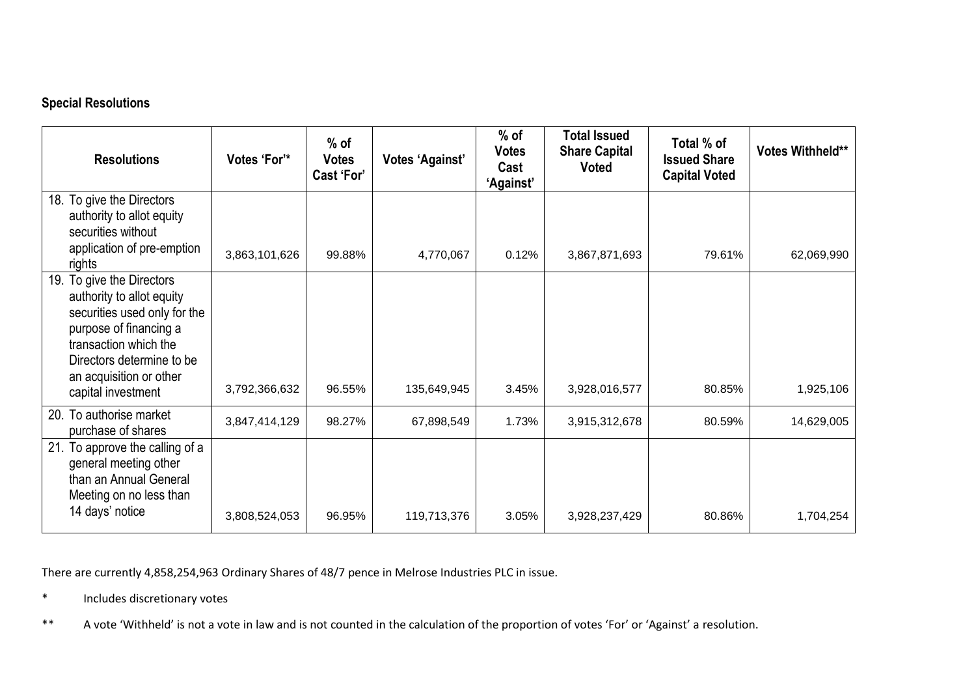# **Special Resolutions**

| <b>Resolutions</b>                                                                                                                                                                                                         | Votes 'For'*  | $%$ of<br><b>Votes</b><br>Cast 'For' | Votes 'Against' | $%$ of<br><b>Votes</b><br>Cast<br>'Against' | <b>Total Issued</b><br><b>Share Capital</b><br><b>Voted</b> | Total % of<br><b>Issued Share</b><br><b>Capital Voted</b> | Votes Withheld** |
|----------------------------------------------------------------------------------------------------------------------------------------------------------------------------------------------------------------------------|---------------|--------------------------------------|-----------------|---------------------------------------------|-------------------------------------------------------------|-----------------------------------------------------------|------------------|
| 18. To give the Directors<br>authority to allot equity<br>securities without<br>application of pre-emption<br>rights                                                                                                       | 3,863,101,626 | 99.88%                               | 4,770,067       | 0.12%                                       | 3,867,871,693                                               | 79.61%                                                    | 62,069,990       |
| To give the Directors<br>19.<br>authority to allot equity<br>securities used only for the<br>purpose of financing a<br>transaction which the<br>Directors determine to be<br>an acquisition or other<br>capital investment | 3,792,366,632 | 96.55%                               | 135,649,945     | 3.45%                                       | 3,928,016,577                                               | 80.85%                                                    | 1,925,106        |
| To authorise market<br>20.<br>purchase of shares                                                                                                                                                                           | 3,847,414,129 | 98.27%                               | 67,898,549      | 1.73%                                       | 3,915,312,678                                               | 80.59%                                                    | 14,629,005       |
| 21. To approve the calling of a<br>general meeting other<br>than an Annual General<br>Meeting on no less than<br>14 days' notice                                                                                           | 3,808,524,053 | 96.95%                               | 119,713,376     | 3.05%                                       | 3,928,237,429                                               | 80.86%                                                    | 1,704,254        |

There are currently 4,858,254,963 Ordinary Shares of 48/7 pence in Melrose Industries PLC in issue.

\* Includes discretionary votes

\*\* A vote 'Withheld' is not a vote in law and is not counted in the calculation of the proportion of votes 'For' or 'Against' a resolution.